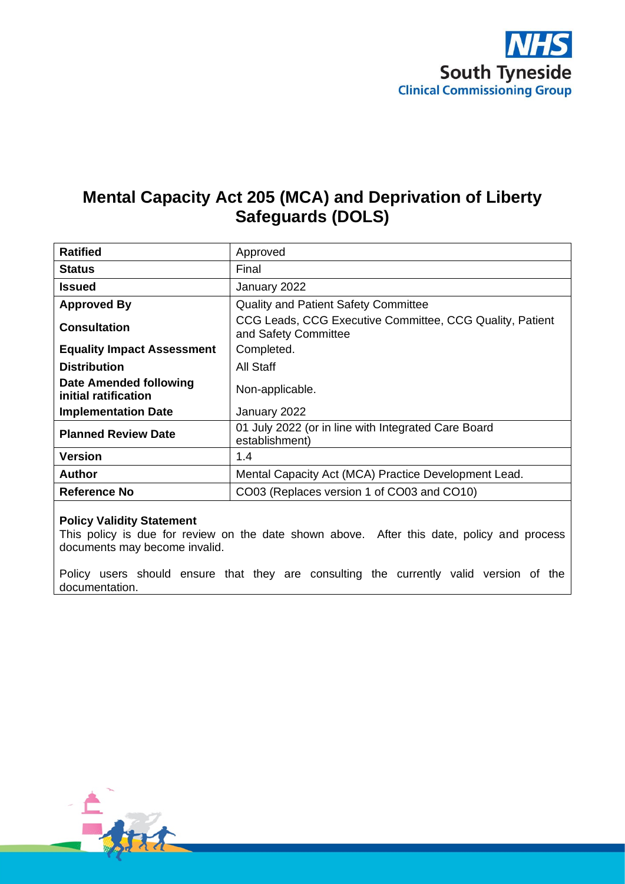

# **Mental Capacity Act 205 (MCA) and Deprivation of Liberty Safeguards (DOLS)**

| <b>Ratified</b>                                       | Approved                                                                         |  |
|-------------------------------------------------------|----------------------------------------------------------------------------------|--|
| <b>Status</b>                                         | Final                                                                            |  |
| <b>Issued</b>                                         | January 2022                                                                     |  |
| <b>Approved By</b>                                    | <b>Quality and Patient Safety Committee</b>                                      |  |
| <b>Consultation</b>                                   | CCG Leads, CCG Executive Committee, CCG Quality, Patient<br>and Safety Committee |  |
| <b>Equality Impact Assessment</b>                     | Completed.                                                                       |  |
| <b>Distribution</b>                                   | All Staff                                                                        |  |
| <b>Date Amended following</b><br>initial ratification | Non-applicable.                                                                  |  |
| <b>Implementation Date</b>                            | January 2022                                                                     |  |
| <b>Planned Review Date</b>                            | 01 July 2022 (or in line with Integrated Care Board<br>establishment)            |  |
| <b>Version</b>                                        | 1.4                                                                              |  |
| <b>Author</b>                                         | Mental Capacity Act (MCA) Practice Development Lead.                             |  |
| Reference No                                          | CO03 (Replaces version 1 of CO03 and CO10)                                       |  |
|                                                       |                                                                                  |  |

#### **Policy Validity Statement**

This policy is due for review on the date shown above. After this date, policy and process documents may become invalid.

Policy users should ensure that they are consulting the currently valid version of the documentation.

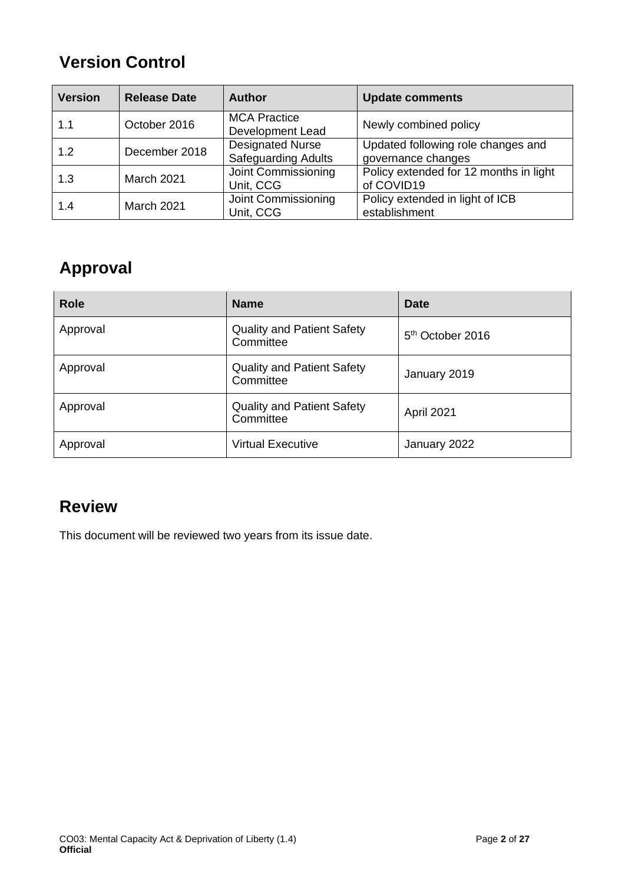# **Version Control**

| <b>Version</b> | <b>Release Date</b> | <b>Author</b>                                         | <b>Update comments</b>                                   |
|----------------|---------------------|-------------------------------------------------------|----------------------------------------------------------|
| 1.1            | October 2016        | <b>MCA Practice</b><br>Development Lead               | Newly combined policy                                    |
| 1.2            | December 2018       | <b>Designated Nurse</b><br><b>Safeguarding Adults</b> | Updated following role changes and<br>governance changes |
| 1.3            | March 2021          | Joint Commissioning<br>Unit, CCG                      | Policy extended for 12 months in light<br>of COVID19     |
| 1.4            | March 2021          | Joint Commissioning<br>Unit, CCG                      | Policy extended in light of ICB<br>establishment         |

# **Approval**

| <b>Role</b> | <b>Name</b>                                    | <b>Date</b>                  |
|-------------|------------------------------------------------|------------------------------|
| Approval    | <b>Quality and Patient Safety</b><br>Committee | 5 <sup>th</sup> October 2016 |
| Approval    | <b>Quality and Patient Safety</b><br>Committee | January 2019                 |
| Approval    | <b>Quality and Patient Safety</b><br>Committee | April 2021                   |
| Approval    | <b>Virtual Executive</b>                       | January 2022                 |

# **Review**

This document will be reviewed two years from its issue date.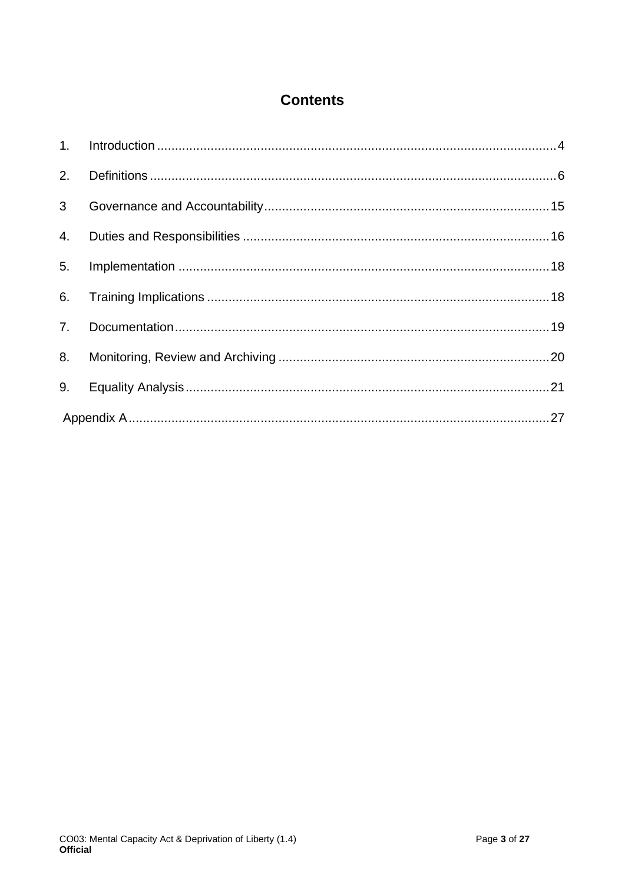# **Contents**

| 2.             |  |
|----------------|--|
| 3 <sup>1</sup> |  |
| 4.             |  |
| 5.             |  |
| 6.             |  |
| 7 <sub>1</sub> |  |
| 8.             |  |
| 9.             |  |
|                |  |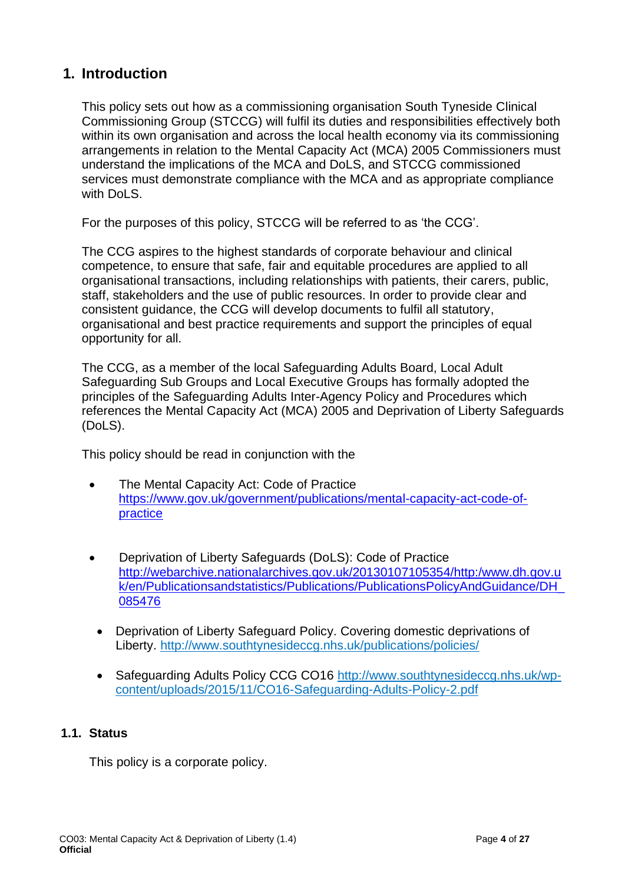# <span id="page-3-0"></span>**1. Introduction**

This policy sets out how as a commissioning organisation South Tyneside Clinical Commissioning Group (STCCG) will fulfil its duties and responsibilities effectively both within its own organisation and across the local health economy via its commissioning arrangements in relation to the Mental Capacity Act (MCA) 2005 Commissioners must understand the implications of the MCA and DoLS, and STCCG commissioned services must demonstrate compliance with the MCA and as appropriate compliance with DoLS.

For the purposes of this policy, STCCG will be referred to as 'the CCG'.

The CCG aspires to the highest standards of corporate behaviour and clinical competence, to ensure that safe, fair and equitable procedures are applied to all organisational transactions, including relationships with patients, their carers, public, staff, stakeholders and the use of public resources. In order to provide clear and consistent guidance, the CCG will develop documents to fulfil all statutory, organisational and best practice requirements and support the principles of equal opportunity for all.

The CCG, as a member of the local Safeguarding Adults Board, Local Adult Safeguarding Sub Groups and Local Executive Groups has formally adopted the principles of the Safeguarding Adults Inter-Agency Policy and Procedures which references the Mental Capacity Act (MCA) 2005 and Deprivation of Liberty Safeguards (DoLS).

This policy should be read in conjunction with the

- The Mental Capacity Act: Code of Practice [https://www.gov.uk/government/publications/mental-capacity-act-code-of](https://www.gov.uk/government/publications/mental-capacity-act-code-of-practice)[practice](https://www.gov.uk/government/publications/mental-capacity-act-code-of-practice)
- Deprivation of Liberty Safeguards (DoLS): Code of Practice http://webarchive.nationalarchives.gov.uk/20130107105354/http:/www.dh.gov.u k/en/Publicationsandstatistics/Publications/PublicationsPolicyAndGuidance/DH\_ 085476
- Deprivation of Liberty Safeguard Policy. Covering domestic deprivations of Liberty. <http://www.southtynesideccg.nhs.uk/publications/policies/>
- Safeguarding Adults Policy CCG CO16 [http://www.southtynesideccg.nhs.uk/wp](http://www.southtynesideccg.nhs.uk/wp-content/uploads/2015/11/CO16-Safeguarding-Adults-Policy-2.pdf)[content/uploads/2015/11/CO16-Safeguarding-Adults-Policy-2.pdf](http://www.southtynesideccg.nhs.uk/wp-content/uploads/2015/11/CO16-Safeguarding-Adults-Policy-2.pdf)

### **1.1. Status**

This policy is a corporate policy.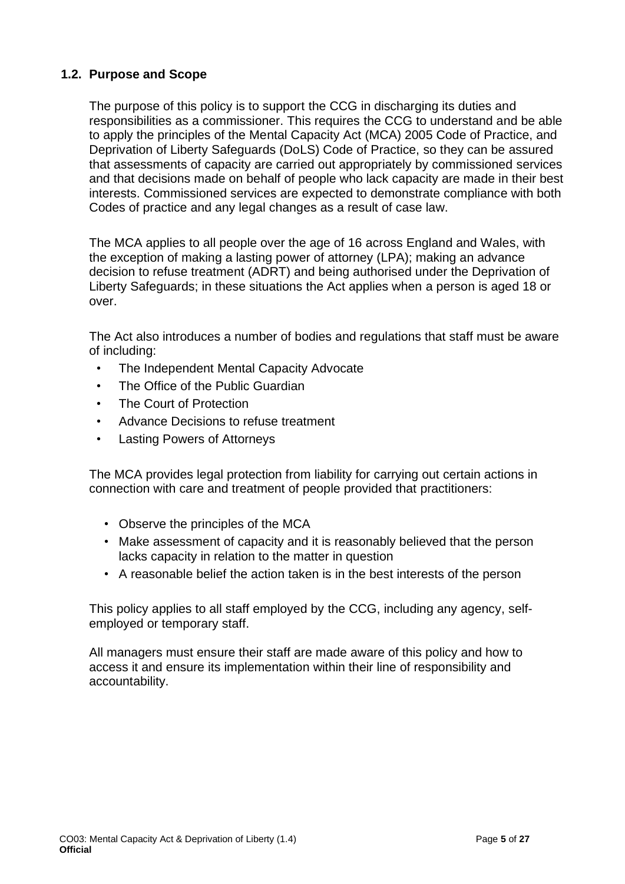### **1.2. Purpose and Scope**

The purpose of this policy is to support the CCG in discharging its duties and responsibilities as a commissioner. This requires the CCG to understand and be able to apply the principles of the Mental Capacity Act (MCA) 2005 Code of Practice, and Deprivation of Liberty Safeguards (DoLS) Code of Practice, so they can be assured that assessments of capacity are carried out appropriately by commissioned services and that decisions made on behalf of people who lack capacity are made in their best interests. Commissioned services are expected to demonstrate compliance with both Codes of practice and any legal changes as a result of case law.

The MCA applies to all people over the age of 16 across England and Wales, with the exception of making a lasting power of attorney (LPA); making an advance decision to refuse treatment (ADRT) and being authorised under the Deprivation of Liberty Safeguards; in these situations the Act applies when a person is aged 18 or over.

The Act also introduces a number of bodies and regulations that staff must be aware of including:

- The Independent Mental Capacity Advocate
- The Office of the Public Guardian
- **The Court of Protection**
- Advance Decisions to refuse treatment
- **Lasting Powers of Attorneys**

The MCA provides legal protection from liability for carrying out certain actions in connection with care and treatment of people provided that practitioners:

- Observe the principles of the MCA
- Make assessment of capacity and it is reasonably believed that the person lacks capacity in relation to the matter in question
- A reasonable belief the action taken is in the best interests of the person

This policy applies to all staff employed by the CCG, including any agency, selfemployed or temporary staff.

All managers must ensure their staff are made aware of this policy and how to access it and ensure its implementation within their line of responsibility and accountability.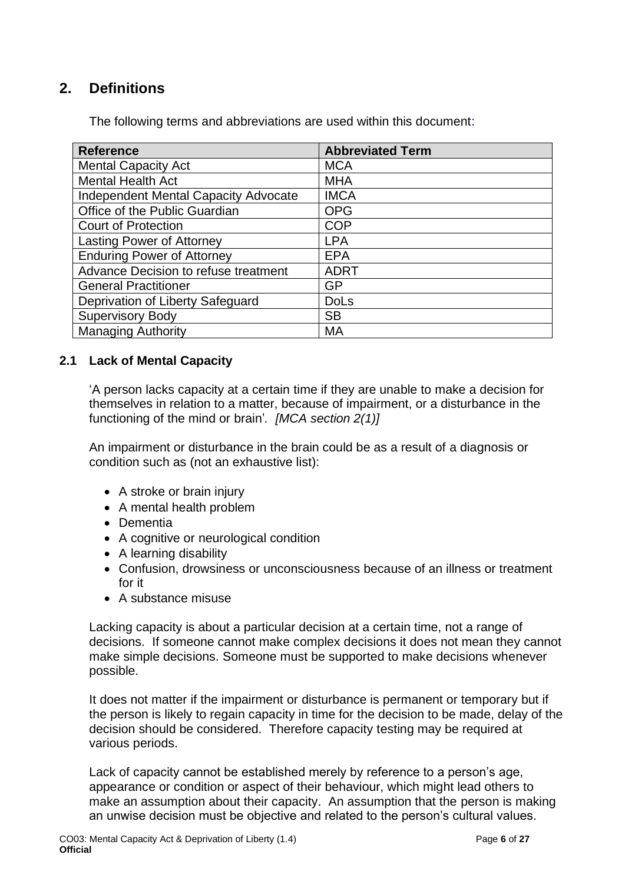# <span id="page-5-0"></span>**2. Definitions**

The following terms and abbreviations are used within this document:

| <b>Reference</b>                            | <b>Abbreviated Term</b> |
|---------------------------------------------|-------------------------|
| <b>Mental Capacity Act</b>                  | <b>MCA</b>              |
| <b>Mental Health Act</b>                    | <b>MHA</b>              |
| <b>Independent Mental Capacity Advocate</b> | <b>IMCA</b>             |
| Office of the Public Guardian               | <b>OPG</b>              |
| <b>Court of Protection</b>                  | <b>COP</b>              |
| Lasting Power of Attorney                   | <b>LPA</b>              |
| <b>Enduring Power of Attorney</b>           | <b>EPA</b>              |
| Advance Decision to refuse treatment        | <b>ADRT</b>             |
| <b>General Practitioner</b>                 | GP                      |
| Deprivation of Liberty Safeguard            | <b>DoLs</b>             |
| <b>Supervisory Body</b>                     | <b>SB</b>               |
| <b>Managing Authority</b>                   | MA                      |

# **2.1 Lack of Mental Capacity**

'A person lacks capacity at a certain time if they are unable to make a decision for themselves in relation to a matter, because of impairment, or a disturbance in the functioning of the mind or brain'*. [MCA section 2(1)]*

An impairment or disturbance in the brain could be as a result of a diagnosis or condition such as (not an exhaustive list):

- A stroke or brain injury
- A mental health problem
- Dementia
- A cognitive or neurological condition
- A learning disability
- Confusion, drowsiness or unconsciousness because of an illness or treatment for it
- A substance misuse

Lacking capacity is about a particular decision at a certain time, not a range of decisions. If someone cannot make complex decisions it does not mean they cannot make simple decisions. Someone must be supported to make decisions whenever possible.

It does not matter if the impairment or disturbance is permanent or temporary but if the person is likely to regain capacity in time for the decision to be made, delay of the decision should be considered. Therefore capacity testing may be required at various periods.

Lack of capacity cannot be established merely by reference to a person's age, appearance or condition or aspect of their behaviour, which might lead others to make an assumption about their capacity. An assumption that the person is making an unwise decision must be objective and related to the person's cultural values.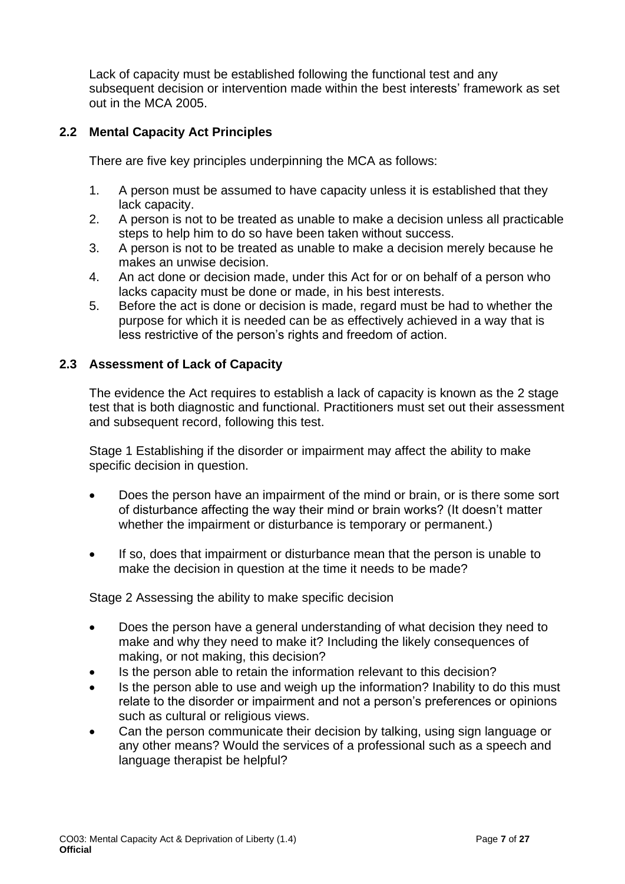Lack of capacity must be established following the functional test and any subsequent decision or intervention made within the best interests' framework as set out in the MCA 2005.

### **2.2 Mental Capacity Act Principles**

There are five key principles underpinning the MCA as follows:

- 1. A person must be assumed to have capacity unless it is established that they lack capacity.
- 2. A person is not to be treated as unable to make a decision unless all practicable steps to help him to do so have been taken without success.
- 3. A person is not to be treated as unable to make a decision merely because he makes an unwise decision.
- 4. An act done or decision made, under this Act for or on behalf of a person who lacks capacity must be done or made, in his best interests.
- 5. Before the act is done or decision is made, regard must be had to whether the purpose for which it is needed can be as effectively achieved in a way that is less restrictive of the person's rights and freedom of action.

#### **2.3 Assessment of Lack of Capacity**

The evidence the Act requires to establish a lack of capacity is known as the 2 stage test that is both diagnostic and functional. Practitioners must set out their assessment and subsequent record, following this test.

Stage 1 Establishing if the disorder or impairment may affect the ability to make specific decision in question.

- Does the person have an impairment of the mind or brain, or is there some sort of disturbance affecting the way their mind or brain works? (It doesn't matter whether the impairment or disturbance is temporary or permanent.)
- If so, does that impairment or disturbance mean that the person is unable to make the decision in question at the time it needs to be made?

Stage 2 Assessing the ability to make specific decision

- Does the person have a general understanding of what decision they need to make and why they need to make it? Including the likely consequences of making, or not making, this decision?
- Is the person able to retain the information relevant to this decision?
- Is the person able to use and weigh up the information? Inability to do this must relate to the disorder or impairment and not a person's preferences or opinions such as cultural or religious views.
- Can the person communicate their decision by talking, using sign language or any other means? Would the services of a professional such as a speech and language therapist be helpful?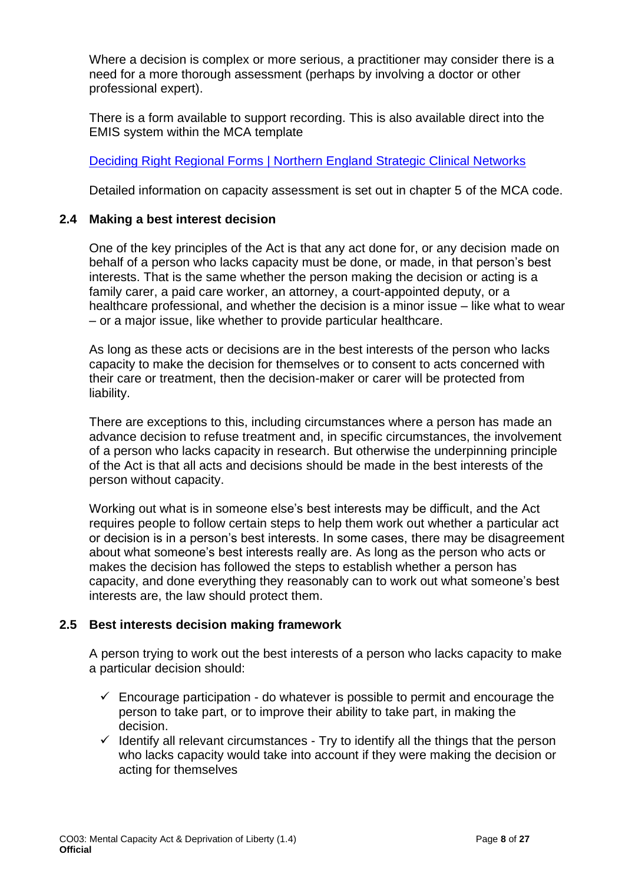Where a decision is complex or more serious, a practitioner may consider there is a need for a more thorough assessment (perhaps by involving a doctor or other professional expert).

There is a form available to support recording. This is also available direct into the EMIS system within the MCA template

[Deciding Right Regional Forms | Northern England Strategic Clinical Networks](http://www.nescn.nhs.uk/common-themes/deciding-right/regional-forms/)

Detailed information on capacity assessment is set out in chapter 5 of the MCA code.

### **2.4 Making a best interest decision**

One of the key principles of the Act is that any act done for, or any decision made on behalf of a person who lacks capacity must be done, or made, in that person's best interests. That is the same whether the person making the decision or acting is a family carer, a paid care worker, an attorney, a court-appointed deputy, or a healthcare professional, and whether the decision is a minor issue – like what to wear – or a major issue, like whether to provide particular healthcare.

As long as these acts or decisions are in the best interests of the person who lacks capacity to make the decision for themselves or to consent to acts concerned with their care or treatment, then the decision-maker or carer will be protected from liability.

There are exceptions to this, including circumstances where a person has made an advance decision to refuse treatment and, in specific circumstances, the involvement of a person who lacks capacity in research. But otherwise the underpinning principle of the Act is that all acts and decisions should be made in the best interests of the person without capacity.

Working out what is in someone else's best interests may be difficult, and the Act requires people to follow certain steps to help them work out whether a particular act or decision is in a person's best interests. In some cases, there may be disagreement about what someone's best interests really are. As long as the person who acts or makes the decision has followed the steps to establish whether a person has capacity, and done everything they reasonably can to work out what someone's best interests are, the law should protect them.

# **2.5 Best interests decision making framework**

A person trying to work out the best interests of a person who lacks capacity to make a particular decision should:

- $\checkmark$  Encourage participation do whatever is possible to permit and encourage the person to take part, or to improve their ability to take part, in making the decision.
- $\checkmark$  Identify all relevant circumstances Try to identify all the things that the person who lacks capacity would take into account if they were making the decision or acting for themselves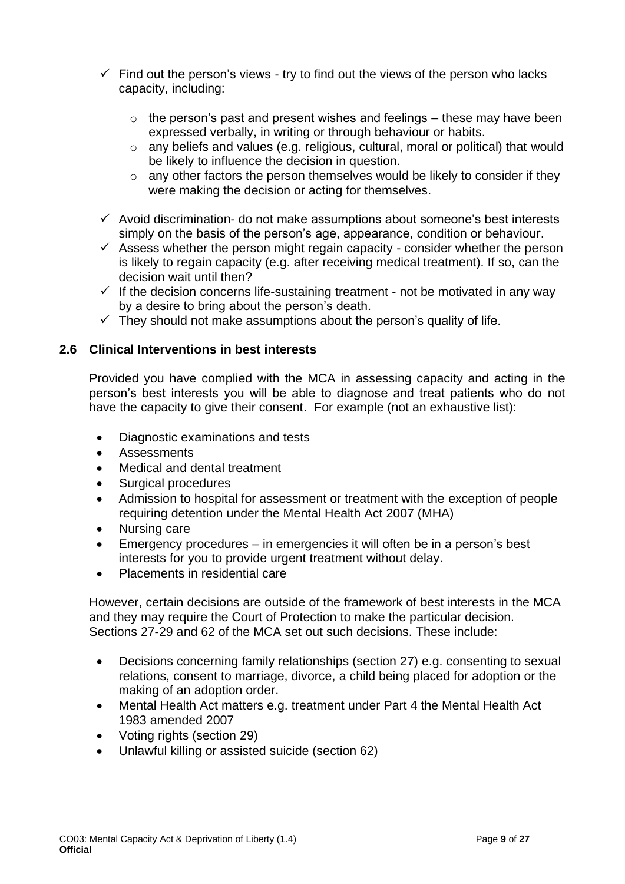- $\checkmark$  Find out the person's views try to find out the views of the person who lacks capacity, including:
	- $\circ$  the person's past and present wishes and feelings these may have been expressed verbally, in writing or through behaviour or habits.
	- o any beliefs and values (e.g. religious, cultural, moral or political) that would be likely to influence the decision in question.
	- $\circ$  any other factors the person themselves would be likely to consider if they were making the decision or acting for themselves.
- ✓ Avoid discrimination- do not make assumptions about someone's best interests simply on the basis of the person's age, appearance, condition or behaviour.
- $\checkmark$  Assess whether the person might regain capacity consider whether the person is likely to regain capacity (e.g. after receiving medical treatment). If so, can the decision wait until then?
- $\checkmark$  If the decision concerns life-sustaining treatment not be motivated in any way by a desire to bring about the person's death.
- $\checkmark$  They should not make assumptions about the person's quality of life.

### **2.6 Clinical Interventions in best interests**

Provided you have complied with the MCA in assessing capacity and acting in the person's best interests you will be able to diagnose and treat patients who do not have the capacity to give their consent. For example (not an exhaustive list):

- Diagnostic examinations and tests
- **Assessments**
- Medical and dental treatment
- Surgical procedures
- Admission to hospital for assessment or treatment with the exception of people requiring detention under the Mental Health Act 2007 (MHA)
- Nursing care
- Emergency procedures in emergencies it will often be in a person's best interests for you to provide urgent treatment without delay.
- Placements in residential care

However, certain decisions are outside of the framework of best interests in the MCA and they may require the Court of Protection to make the particular decision. Sections 27-29 and 62 of the MCA set out such decisions. These include:

- Decisions concerning family relationships (section 27) e.g. consenting to sexual relations, consent to marriage, divorce, a child being placed for adoption or the making of an adoption order.
- Mental Health Act matters e.g. treatment under Part 4 the Mental Health Act 1983 amended 2007
- Voting rights (section 29)
- Unlawful killing or assisted suicide (section 62)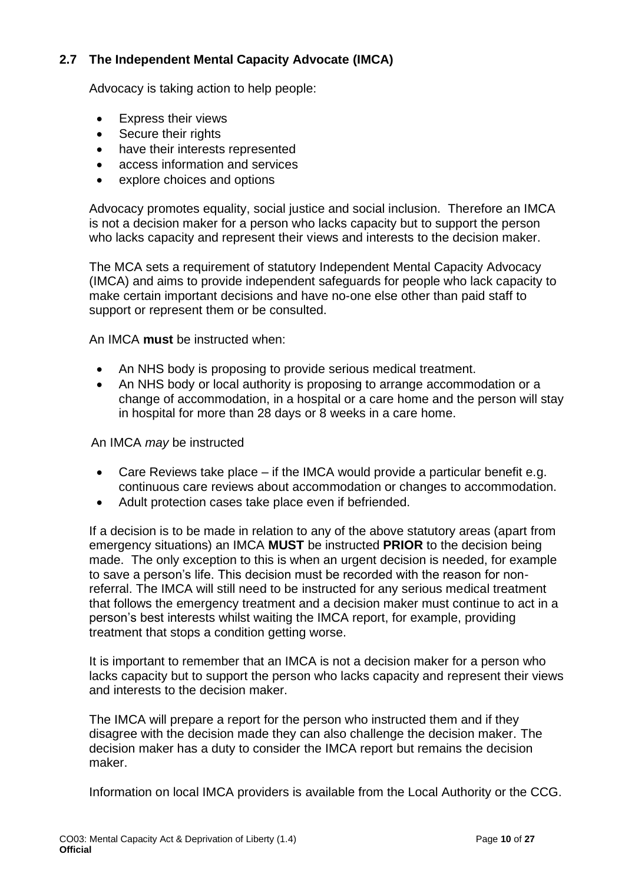# **2.7 The Independent Mental Capacity Advocate (IMCA)**

Advocacy is taking action to help people:

- Express their views
- Secure their rights
- have their interests represented
- access information and services
- explore choices and options

Advocacy promotes equality, social justice and social inclusion. Therefore an IMCA is not a decision maker for a person who lacks capacity but to support the person who lacks capacity and represent their views and interests to the decision maker.

The MCA sets a requirement of statutory Independent Mental Capacity Advocacy (IMCA) and aims to provide independent safeguards for people who lack capacity to make certain important decisions and have no-one else other than paid staff to support or represent them or be consulted.

An IMCA **must** be instructed when:

- An NHS body is proposing to provide serious medical treatment.
- An NHS body or local authority is proposing to arrange accommodation or a change of accommodation, in a hospital or a care home and the person will stay in hospital for more than 28 days or 8 weeks in a care home.

An IMCA *may* be instructed

- Care Reviews take place if the IMCA would provide a particular benefit e.g. continuous care reviews about accommodation or changes to accommodation.
- Adult protection cases take place even if befriended.

If a decision is to be made in relation to any of the above statutory areas (apart from emergency situations) an IMCA **MUST** be instructed **PRIOR** to the decision being made. The only exception to this is when an urgent decision is needed, for example to save a person's life. This decision must be recorded with the reason for nonreferral. The IMCA will still need to be instructed for any serious medical treatment that follows the emergency treatment and a decision maker must continue to act in a person's best interests whilst waiting the IMCA report, for example, providing treatment that stops a condition getting worse.

It is important to remember that an IMCA is not a decision maker for a person who lacks capacity but to support the person who lacks capacity and represent their views and interests to the decision maker.

The IMCA will prepare a report for the person who instructed them and if they disagree with the decision made they can also challenge the decision maker. The decision maker has a duty to consider the IMCA report but remains the decision maker.

Information on local IMCA providers is available from the Local Authority or the CCG.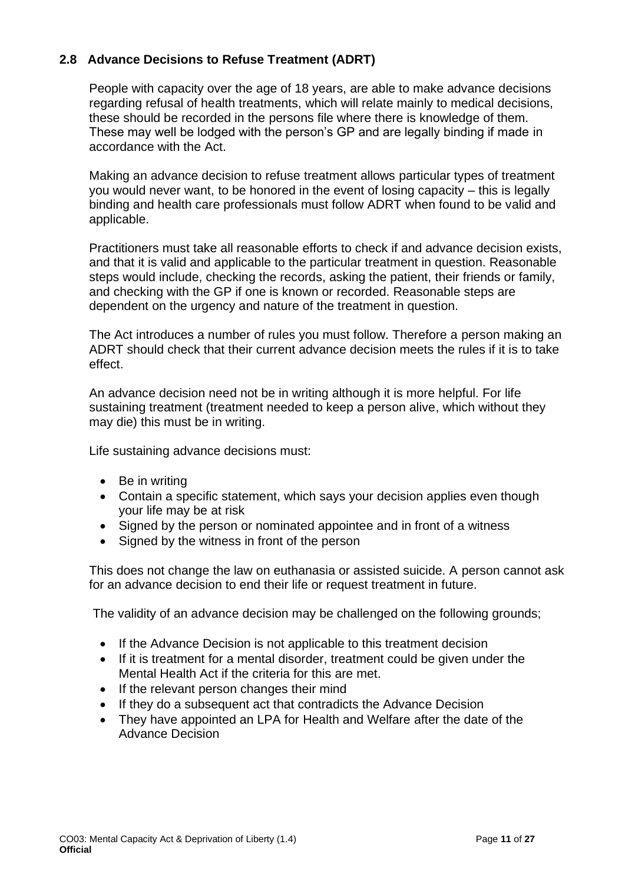# **2.8 Advance Decisions to Refuse Treatment (ADRT)**

People with capacity over the age of 18 years, are able to make advance decisions regarding refusal of health treatments, which will relate mainly to medical decisions, these should be recorded in the persons file where there is knowledge of them. These may well be lodged with the person's GP and are legally binding if made in accordance with the Act.

Making an advance decision to refuse treatment allows particular types of treatment you would never want, to be honored in the event of losing capacity – this is legally binding and health care professionals must follow ADRT when found to be valid and applicable.

Practitioners must take all reasonable efforts to check if and advance decision exists, and that it is valid and applicable to the particular treatment in question. Reasonable steps would include, checking the records, asking the patient, their friends or family, and checking with the GP if one is known or recorded. Reasonable steps are dependent on the urgency and nature of the treatment in question.

The Act introduces a number of rules you must follow. Therefore a person making an ADRT should check that their current advance decision meets the rules if it is to take effect.

An advance decision need not be in writing although it is more helpful. For life sustaining treatment (treatment needed to keep a person alive, which without they may die) this must be in writing.

Life sustaining advance decisions must:

- Be in writing
- Contain a specific statement, which says your decision applies even though your life may be at risk
- Signed by the person or nominated appointee and in front of a witness
- Signed by the witness in front of the person

This does not change the law on euthanasia or assisted suicide. A person cannot ask for an advance decision to end their life or request treatment in future.

The validity of an advance decision may be challenged on the following grounds;

- If the Advance Decision is not applicable to this treatment decision
- If it is treatment for a mental disorder, treatment could be given under the Mental Health Act if the criteria for this are met.
- If the relevant person changes their mind
- If they do a subsequent act that contradicts the Advance Decision
- They have appointed an LPA for Health and Welfare after the date of the Advance Decision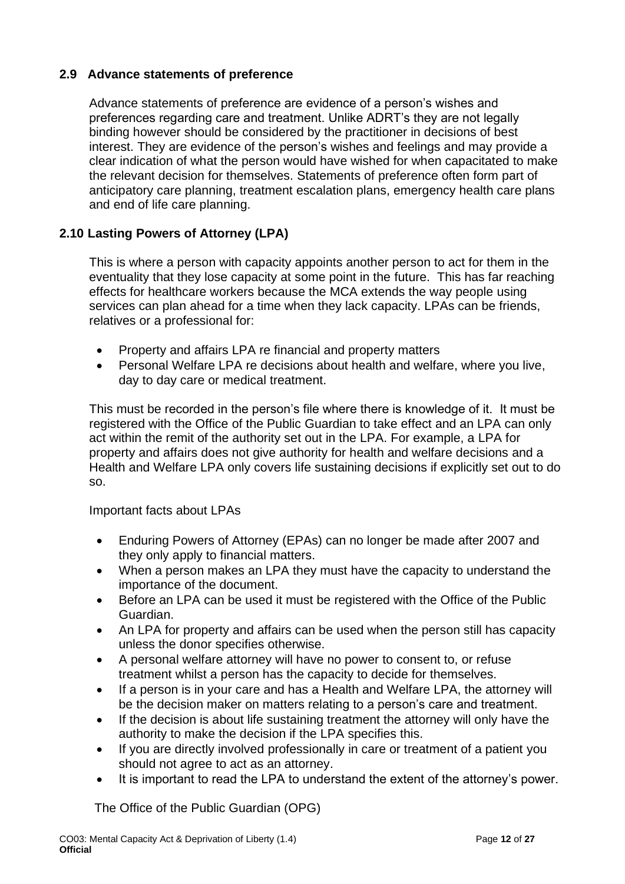## **2.9 Advance statements of preference**

Advance statements of preference are evidence of a person's wishes and preferences regarding care and treatment. Unlike ADRT's they are not legally binding however should be considered by the practitioner in decisions of best interest. They are evidence of the person's wishes and feelings and may provide a clear indication of what the person would have wished for when capacitated to make the relevant decision for themselves. Statements of preference often form part of anticipatory care planning, treatment escalation plans, emergency health care plans and end of life care planning.

# **2.10 Lasting Powers of Attorney (LPA)**

This is where a person with capacity appoints another person to act for them in the eventuality that they lose capacity at some point in the future. This has far reaching effects for healthcare workers because the MCA extends the way people using services can plan ahead for a time when they lack capacity. LPAs can be friends, relatives or a professional for:

- Property and affairs LPA re financial and property matters
- Personal Welfare LPA re decisions about health and welfare, where you live, day to day care or medical treatment.

This must be recorded in the person's file where there is knowledge of it. It must be registered with the Office of the Public Guardian to take effect and an LPA can only act within the remit of the authority set out in the LPA. For example, a LPA for property and affairs does not give authority for health and welfare decisions and a Health and Welfare LPA only covers life sustaining decisions if explicitly set out to do so.

Important facts about LPAs

- Enduring Powers of Attorney (EPAs) can no longer be made after 2007 and they only apply to financial matters.
- When a person makes an LPA they must have the capacity to understand the importance of the document.
- Before an LPA can be used it must be registered with the Office of the Public Guardian.
- An LPA for property and affairs can be used when the person still has capacity unless the donor specifies otherwise.
- A personal welfare attorney will have no power to consent to, or refuse treatment whilst a person has the capacity to decide for themselves.
- If a person is in your care and has a Health and Welfare LPA, the attorney will be the decision maker on matters relating to a person's care and treatment.
- If the decision is about life sustaining treatment the attorney will only have the authority to make the decision if the LPA specifies this.
- If you are directly involved professionally in care or treatment of a patient you should not agree to act as an attorney.
- It is important to read the LPA to understand the extent of the attorney's power.

The Office of the Public Guardian (OPG)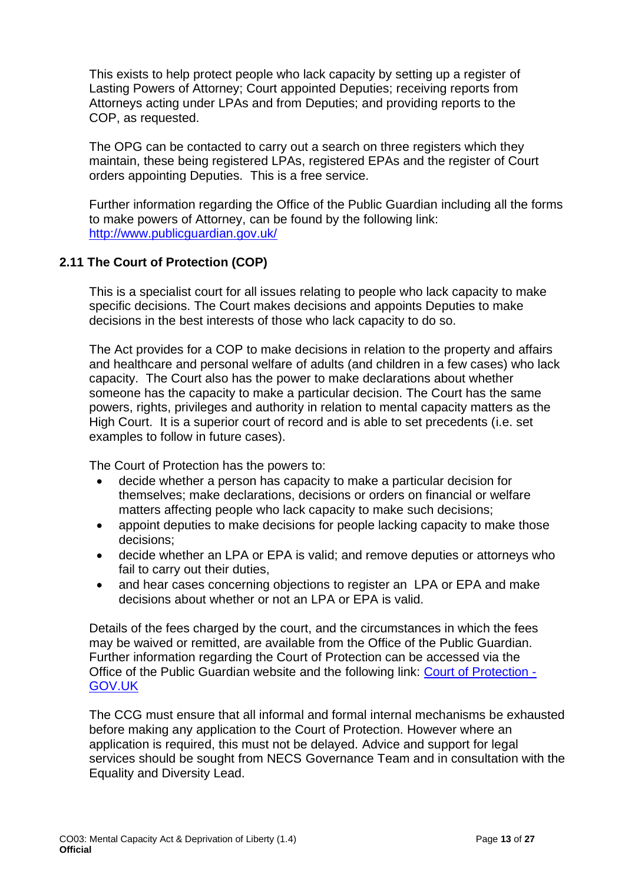This exists to help protect people who lack capacity by setting up a register of Lasting Powers of Attorney; Court appointed Deputies; receiving reports from Attorneys acting under LPAs and from Deputies; and providing reports to the COP, as requested.

The OPG can be contacted to carry out a search on three registers which they maintain, these being registered LPAs, registered EPAs and the register of Court orders appointing Deputies. This is a free service.

Further information regarding the Office of the Public Guardian including all the forms to make powers of Attorney, can be found by the following link: <http://www.publicguardian.gov.uk/>

# **2.11 The Court of Protection (COP)**

This is a specialist court for all issues relating to people who lack capacity to make specific decisions. The Court makes decisions and appoints Deputies to make decisions in the best interests of those who lack capacity to do so.

The Act provides for a COP to make decisions in relation to the property and affairs and healthcare and personal welfare of adults (and children in a few cases) who lack capacity. The Court also has the power to make declarations about whether someone has the capacity to make a particular decision. The Court has the same powers, rights, privileges and authority in relation to mental capacity matters as the High Court. It is a superior court of record and is able to set precedents (i.e. set examples to follow in future cases).

The Court of Protection has the powers to:

- decide whether a person has capacity to make a particular decision for themselves; make declarations, decisions or orders on financial or welfare matters affecting people who lack capacity to make such decisions;
- appoint deputies to make decisions for people lacking capacity to make those decisions;
- decide whether an LPA or EPA is valid; and remove deputies or attorneys who fail to carry out their duties,
- and hear cases concerning objections to register an LPA or EPA and make decisions about whether or not an LPA or EPA is valid.

Details of the fees charged by the court, and the circumstances in which the fees may be waived or remitted, are available from the Office of the Public Guardian. Further information regarding the Court of Protection can be accessed via the Office of the Public Guardian website and the following link: [Court of Protection -](https://www.gov.uk/courts-tribunals/court-of-protection) [GOV.UK](https://www.gov.uk/courts-tribunals/court-of-protection)

The CCG must ensure that all informal and formal internal mechanisms be exhausted before making any application to the Court of Protection. However where an application is required, this must not be delayed. Advice and support for legal services should be sought from NECS Governance Team and in consultation with the Equality and Diversity Lead.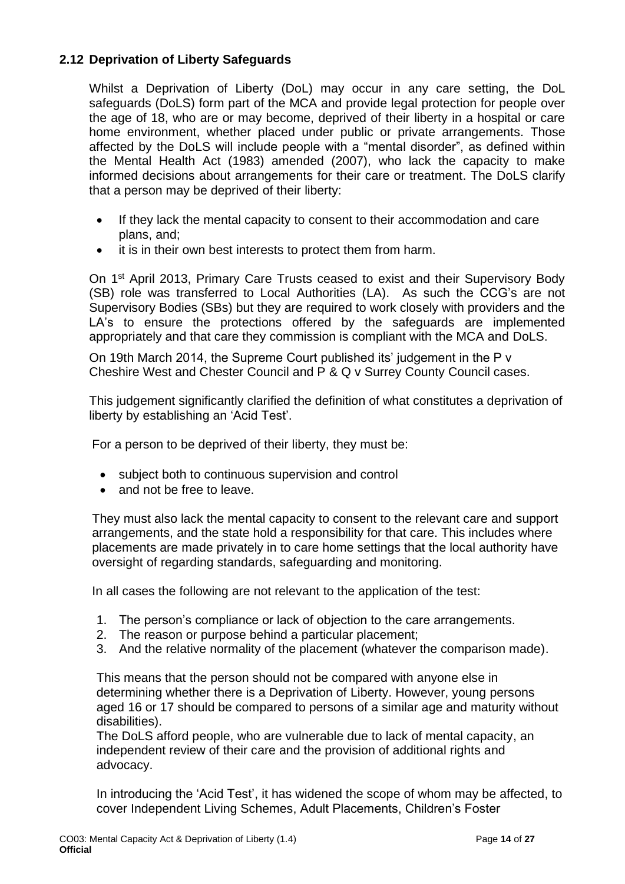## **2.12 Deprivation of Liberty Safeguards**

Whilst a Deprivation of Liberty (DoL) may occur in any care setting, the DoL safeguards (DoLS) form part of the MCA and provide legal protection for people over the age of 18, who are or may become, deprived of their liberty in a hospital or care home environment, whether placed under public or private arrangements. Those affected by the DoLS will include people with a "mental disorder", as defined within the Mental Health Act (1983) amended (2007), who lack the capacity to make informed decisions about arrangements for their care or treatment. The DoLS clarify that a person may be deprived of their liberty:

- If they lack the mental capacity to consent to their accommodation and care plans, and;
- it is in their own best interests to protect them from harm.

On 1<sup>st</sup> April 2013, Primary Care Trusts ceased to exist and their Supervisory Body (SB) role was transferred to Local Authorities (LA). As such the CCG's are not Supervisory Bodies (SBs) but they are required to work closely with providers and the LA's to ensure the protections offered by the safeguards are implemented appropriately and that care they commission is compliant with the MCA and DoLS.

On 19th March 2014, the Supreme Court published its' judgement in the P v Cheshire West and Chester Council and P & Q v Surrey County Council cases.

This judgement significantly clarified the definition of what constitutes a deprivation of liberty by establishing an 'Acid Test'.

For a person to be deprived of their liberty, they must be:

- subject both to continuous supervision and control
- and not be free to leave.

They must also lack the mental capacity to consent to the relevant care and support arrangements, and the state hold a responsibility for that care. This includes where placements are made privately in to care home settings that the local authority have oversight of regarding standards, safeguarding and monitoring.

In all cases the following are not relevant to the application of the test:

- 1. The person's compliance or lack of objection to the care arrangements.
- 2. The reason or purpose behind a particular placement;
- 3. And the relative normality of the placement (whatever the comparison made).

This means that the person should not be compared with anyone else in determining whether there is a Deprivation of Liberty. However, young persons aged 16 or 17 should be compared to persons of a similar age and maturity without disabilities).

The DoLS afford people, who are vulnerable due to lack of mental capacity, an independent review of their care and the provision of additional rights and advocacy.

In introducing the 'Acid Test', it has widened the scope of whom may be affected, to cover Independent Living Schemes, Adult Placements, Children's Foster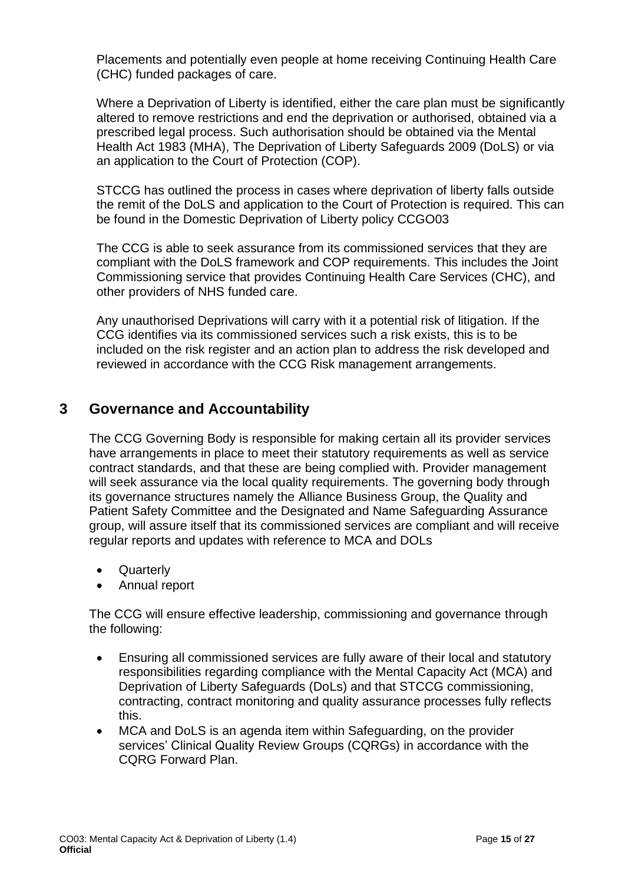Placements and potentially even people at home receiving Continuing Health Care (CHC) funded packages of care.

Where a Deprivation of Liberty is identified, either the care plan must be significantly altered to remove restrictions and end the deprivation or authorised, obtained via a prescribed legal process. Such authorisation should be obtained via the Mental Health Act 1983 (MHA), The Deprivation of Liberty Safeguards 2009 (DoLS) or via an application to the Court of Protection (COP).

STCCG has outlined the process in cases where deprivation of liberty falls outside the remit of the DoLS and application to the Court of Protection is required. This can be found in the Domestic Deprivation of Liberty policy CCGO03

The CCG is able to seek assurance from its commissioned services that they are compliant with the DoLS framework and COP requirements. This includes the Joint Commissioning service that provides Continuing Health Care Services (CHC), and other providers of NHS funded care.

Any unauthorised Deprivations will carry with it a potential risk of litigation. If the CCG identifies via its commissioned services such a risk exists, this is to be included on the risk register and an action plan to address the risk developed and reviewed in accordance with the CCG Risk management arrangements.

# <span id="page-14-0"></span>**3 Governance and Accountability**

The CCG Governing Body is responsible for making certain all its provider services have arrangements in place to meet their statutory requirements as well as service contract standards, and that these are being complied with. Provider management will seek assurance via the local quality requirements. The governing body through its governance structures namely the Alliance Business Group, the Quality and Patient Safety Committee and the Designated and Name Safeguarding Assurance group, will assure itself that its commissioned services are compliant and will receive regular reports and updates with reference to MCA and DOLs

- Quarterly
- Annual report

The CCG will ensure effective leadership, commissioning and governance through the following:

- Ensuring all commissioned services are fully aware of their local and statutory responsibilities regarding compliance with the Mental Capacity Act (MCA) and Deprivation of Liberty Safeguards (DoLs) and that STCCG commissioning, contracting, contract monitoring and quality assurance processes fully reflects this.
- MCA and DoLS is an agenda item within Safeguarding, on the provider services' Clinical Quality Review Groups (CQRGs) in accordance with the CQRG Forward Plan.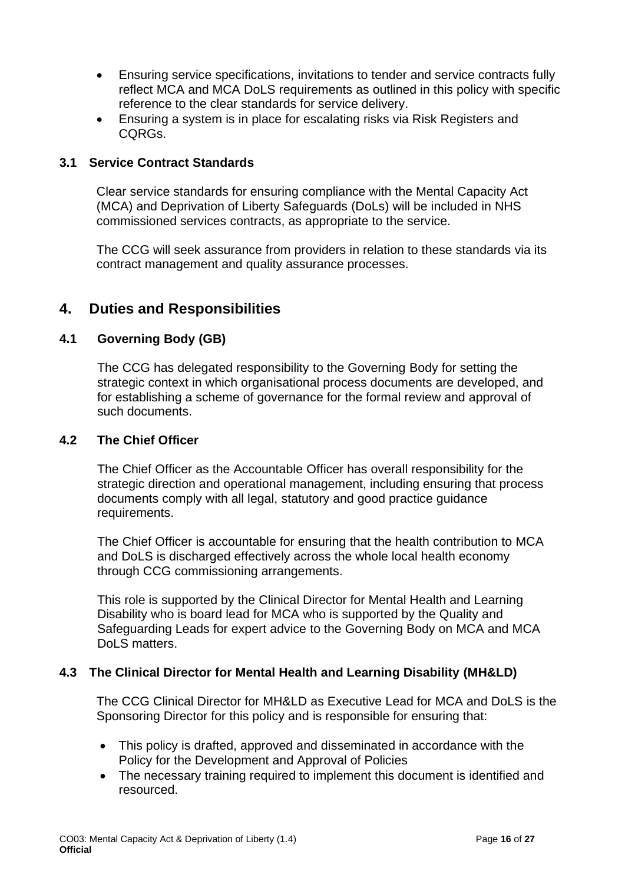- Ensuring service specifications, invitations to tender and service contracts fully reflect MCA and MCA DoLS requirements as outlined in this policy with specific reference to the clear standards for service delivery.
- Ensuring a system is in place for escalating risks via Risk Registers and CQRGs.

### **3.1 Service Contract Standards**

Clear service standards for ensuring compliance with the Mental Capacity Act (MCA) and Deprivation of Liberty Safeguards (DoLs) will be included in NHS commissioned services contracts, as appropriate to the service.

The CCG will seek assurance from providers in relation to these standards via its contract management and quality assurance processes.

# <span id="page-15-0"></span>**4. Duties and Responsibilities**

### **4.1 Governing Body (GB)**

The CCG has delegated responsibility to the Governing Body for setting the strategic context in which organisational process documents are developed, and for establishing a scheme of governance for the formal review and approval of such documents.

#### **4.2 The Chief Officer**

The Chief Officer as the Accountable Officer has overall responsibility for the strategic direction and operational management, including ensuring that process documents comply with all legal, statutory and good practice guidance requirements.

The Chief Officer is accountable for ensuring that the health contribution to MCA and DoLS is discharged effectively across the whole local health economy through CCG commissioning arrangements.

This role is supported by the Clinical Director for Mental Health and Learning Disability who is board lead for MCA who is supported by the Quality and Safeguarding Leads for expert advice to the Governing Body on MCA and MCA DoLS matters.

### **4.3 The Clinical Director for Mental Health and Learning Disability (MH&LD)**

The CCG Clinical Director for MH&LD as Executive Lead for MCA and DoLS is the Sponsoring Director for this policy and is responsible for ensuring that:

- This policy is drafted, approved and disseminated in accordance with the Policy for the Development and Approval of Policies
- The necessary training required to implement this document is identified and resourced.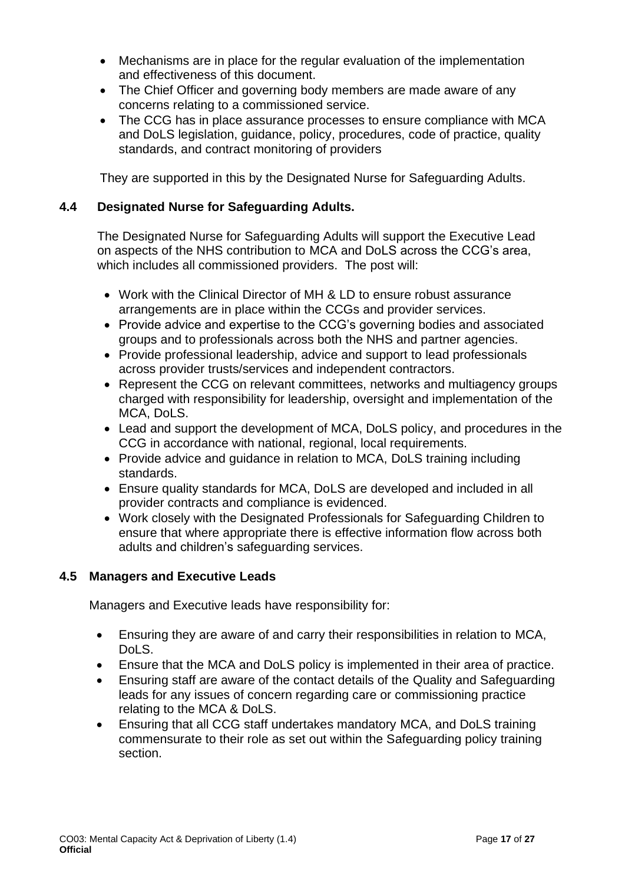- Mechanisms are in place for the regular evaluation of the implementation and effectiveness of this document.
- The Chief Officer and governing body members are made aware of any concerns relating to a commissioned service.
- The CCG has in place assurance processes to ensure compliance with MCA and DoLS legislation, guidance, policy, procedures, code of practice, quality standards, and contract monitoring of providers

They are supported in this by the Designated Nurse for Safeguarding Adults.

# **4.4 Designated Nurse for Safeguarding Adults.**

The Designated Nurse for Safeguarding Adults will support the Executive Lead on aspects of the NHS contribution to MCA and DoLS across the CCG's area, which includes all commissioned providers. The post will:

- Work with the Clinical Director of MH & LD to ensure robust assurance arrangements are in place within the CCGs and provider services.
- Provide advice and expertise to the CCG's governing bodies and associated groups and to professionals across both the NHS and partner agencies.
- Provide professional leadership, advice and support to lead professionals across provider trusts/services and independent contractors.
- Represent the CCG on relevant committees, networks and multiagency groups charged with responsibility for leadership, oversight and implementation of the MCA, DoLS.
- Lead and support the development of MCA, DoLS policy, and procedures in the CCG in accordance with national, regional, local requirements.
- Provide advice and quidance in relation to MCA, DoLS training including standards.
- Ensure quality standards for MCA, DoLS are developed and included in all provider contracts and compliance is evidenced.
- Work closely with the Designated Professionals for Safeguarding Children to ensure that where appropriate there is effective information flow across both adults and children's safeguarding services.

# **4.5 Managers and Executive Leads**

Managers and Executive leads have responsibility for:

- Ensuring they are aware of and carry their responsibilities in relation to MCA, DoLS.
- Ensure that the MCA and DoLS policy is implemented in their area of practice.
- Ensuring staff are aware of the contact details of the Quality and Safeguarding leads for any issues of concern regarding care or commissioning practice relating to the MCA & DoLS.
- Ensuring that all CCG staff undertakes mandatory MCA, and DoLS training commensurate to their role as set out within the Safeguarding policy training section.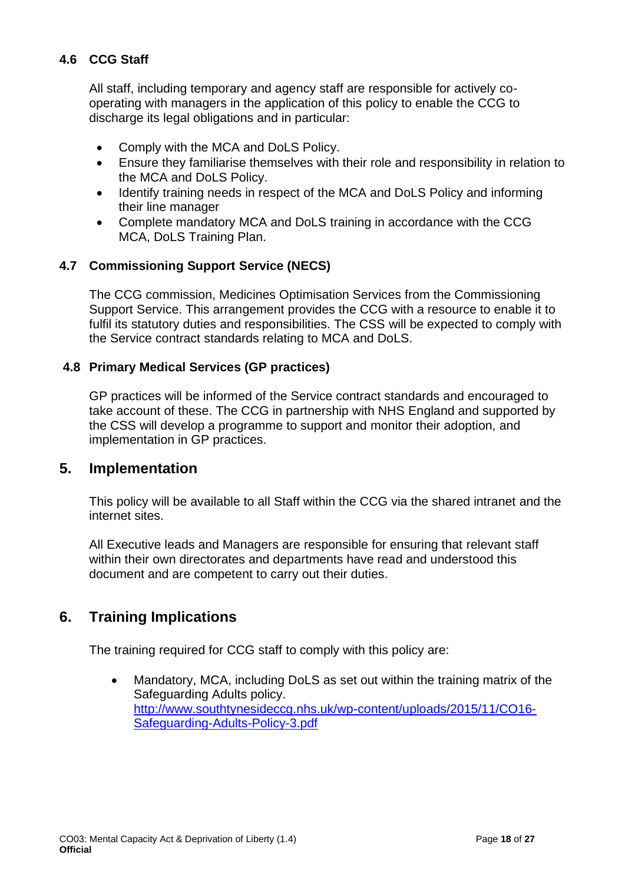# **4.6 CCG Staff**

All staff, including temporary and agency staff are responsible for actively cooperating with managers in the application of this policy to enable the CCG to discharge its legal obligations and in particular:

- Comply with the MCA and DoLS Policy.
- Ensure they familiarise themselves with their role and responsibility in relation to the MCA and DoLS Policy.
- Identify training needs in respect of the MCA and DoLS Policy and informing their line manager
- Complete mandatory MCA and DoLS training in accordance with the CCG MCA, DoLS Training Plan.

### **4.7 Commissioning Support Service (NECS)**

The CCG commission, Medicines Optimisation Services from the Commissioning Support Service. This arrangement provides the CCG with a resource to enable it to fulfil its statutory duties and responsibilities. The CSS will be expected to comply with the Service contract standards relating to MCA and DoLS.

### **4.8 Primary Medical Services (GP practices)**

GP practices will be informed of the Service contract standards and encouraged to take account of these. The CCG in partnership with NHS England and supported by the CSS will develop a programme to support and monitor their adoption, and implementation in GP practices.

# <span id="page-17-0"></span>**5. Implementation**

This policy will be available to all Staff within the CCG via the shared intranet and the internet sites.

All Executive leads and Managers are responsible for ensuring that relevant staff within their own directorates and departments have read and understood this document and are competent to carry out their duties.

# <span id="page-17-1"></span>**6. Training Implications**

The training required for CCG staff to comply with this policy are:

<span id="page-17-2"></span>• Mandatory, MCA, including DoLS as set out within the training matrix of the Safeguarding Adults policy. [http://www.southtynesideccg.nhs.uk/wp-content/uploads/2015/11/CO16-](http://www.southtynesideccg.nhs.uk/wp-content/uploads/2015/11/CO16-Safeguarding-Adults-Policy-3.pdf) [Safeguarding-Adults-Policy-3.pdf](http://www.southtynesideccg.nhs.uk/wp-content/uploads/2015/11/CO16-Safeguarding-Adults-Policy-3.pdf)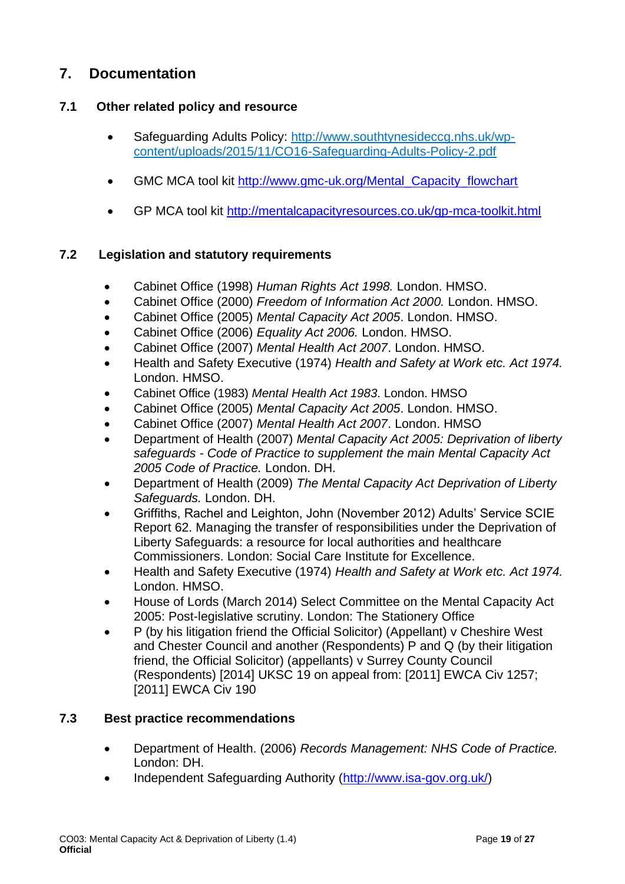# **7. Documentation**

## **7.1 Other related policy and resource**

- Safeguarding Adults Policy: [http://www.southtynesideccg.nhs.uk/wp](http://www.southtynesideccg.nhs.uk/wp-content/uploads/2015/11/CO16-Safeguarding-Adults-Policy-2.pdf)[content/uploads/2015/11/CO16-Safeguarding-Adults-Policy-2.pdf](http://www.southtynesideccg.nhs.uk/wp-content/uploads/2015/11/CO16-Safeguarding-Adults-Policy-2.pdf)
- GMC MCA tool kit http://www.gmc-uk.org/Mental Capacity flowchart
- GP MCA tool kit http://mentalcapacityresources.co.uk/qp-mca-toolkit.html

### **7.2 Legislation and statutory requirements**

- Cabinet Office (1998) *Human Rights Act 1998.* London. HMSO.
- Cabinet Office (2000) *Freedom of Information Act 2000.* London. HMSO.
- Cabinet Office (2005) *Mental Capacity Act 2005*. London. HMSO.
- Cabinet Office (2006) *Equality Act 2006.* London. HMSO.
- Cabinet Office (2007) *Mental Health Act 2007*. London. HMSO.
- Health and Safety Executive (1974) *Health and Safety at Work etc. Act 1974.* London. HMSO.
- Cabinet Office (1983) *Mental Health Act 1983*. London. HMSO
- Cabinet Office (2005) *Mental Capacity Act 2005*. London. HMSO.
- Cabinet Office (2007) *Mental Health Act 2007*. London. HMSO
- Department of Health (2007) *Mental Capacity Act 2005: Deprivation of liberty safeguards - Code of Practice to supplement the main Mental Capacity Act 2005 Code of Practice.* London. DH.
- Department of Health (2009) *The Mental Capacity Act Deprivation of Liberty Safeguards.* London. DH.
- Griffiths, Rachel and Leighton, John (November 2012) Adults' Service SCIE Report 62. Managing the transfer of responsibilities under the Deprivation of Liberty Safeguards: a resource for local authorities and healthcare Commissioners. London: Social Care Institute for Excellence.
- Health and Safety Executive (1974) *Health and Safety at Work etc. Act 1974.*  London. HMSO.
- House of Lords (March 2014) Select Committee on the Mental Capacity Act 2005: Post-legislative scrutiny. London: The Stationery Office
- P (by his litigation friend the Official Solicitor) (Appellant) v Cheshire West and Chester Council and another (Respondents) P and Q (by their litigation friend, the Official Solicitor) (appellants) v Surrey County Council (Respondents) [2014] UKSC 19 on appeal from: [2011] EWCA Civ 1257; [2011] EWCA Civ 190

# **7.3 Best practice recommendations**

- Department of Health. (2006) *Records Management: NHS Code of Practice.* London: DH.
- Independent Safeguarding Authority [\(http://www.isa-gov.org.uk/\)](http://www.isa-gov.org.uk/)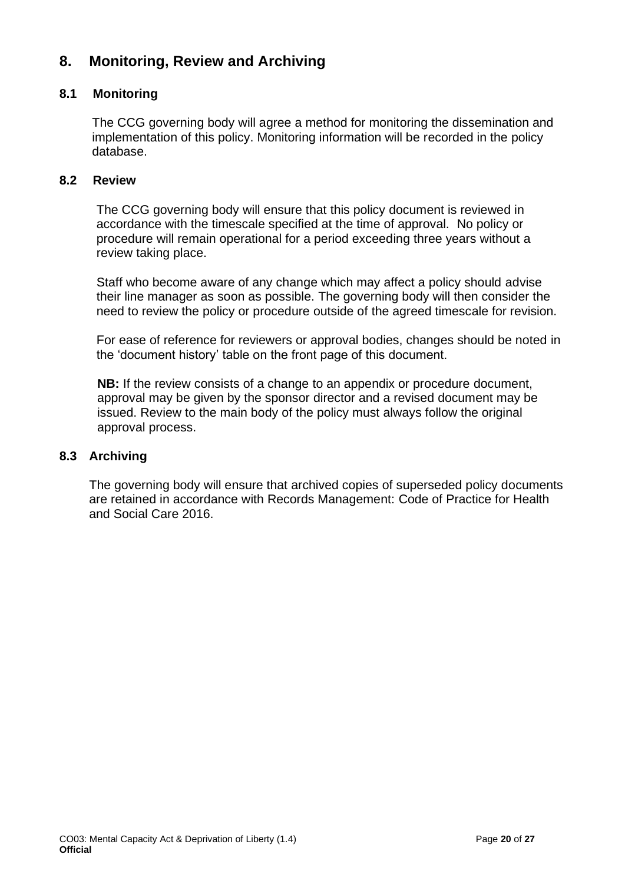# <span id="page-19-0"></span>**8. Monitoring, Review and Archiving**

### **8.1 Monitoring**

The CCG governing body will agree a method for monitoring the dissemination and implementation of this policy. Monitoring information will be recorded in the policy database.

### **8.2 Review**

The CCG governing body will ensure that this policy document is reviewed in accordance with the timescale specified at the time of approval. No policy or procedure will remain operational for a period exceeding three years without a review taking place.

Staff who become aware of any change which may affect a policy should advise their line manager as soon as possible. The governing body will then consider the need to review the policy or procedure outside of the agreed timescale for revision.

For ease of reference for reviewers or approval bodies, changes should be noted in the 'document history' table on the front page of this document.

**NB:** If the review consists of a change to an appendix or procedure document, approval may be given by the sponsor director and a revised document may be issued. Review to the main body of the policy must always follow the original approval process.

### **8.3 Archiving**

The governing body will ensure that archived copies of superseded policy documents are retained in accordance with Records Management: Code of Practice for Health and Social Care 2016.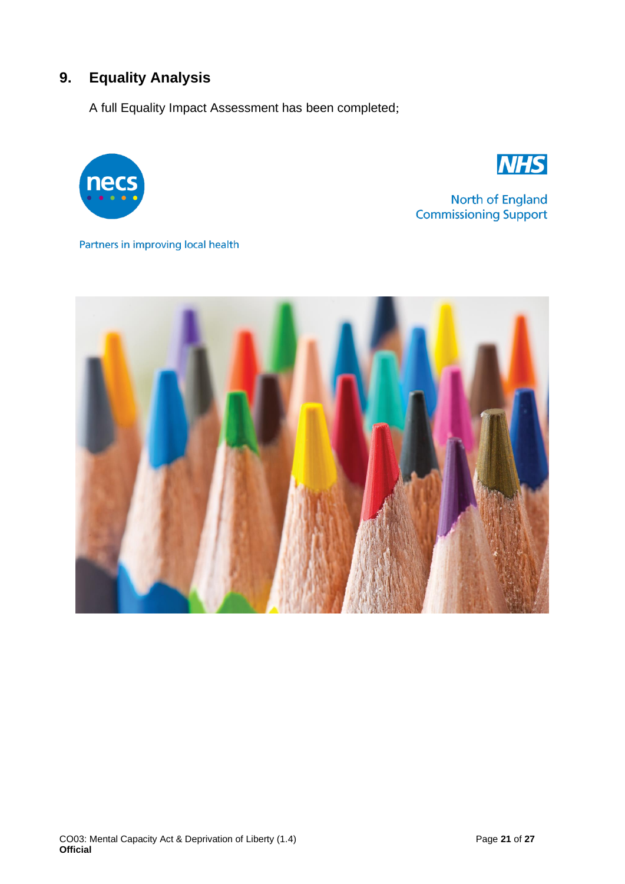# <span id="page-20-0"></span>**9. Equality Analysis**

A full Equality Impact Assessment has been completed;





North of England **Commissioning Support** 

Partners in improving local health

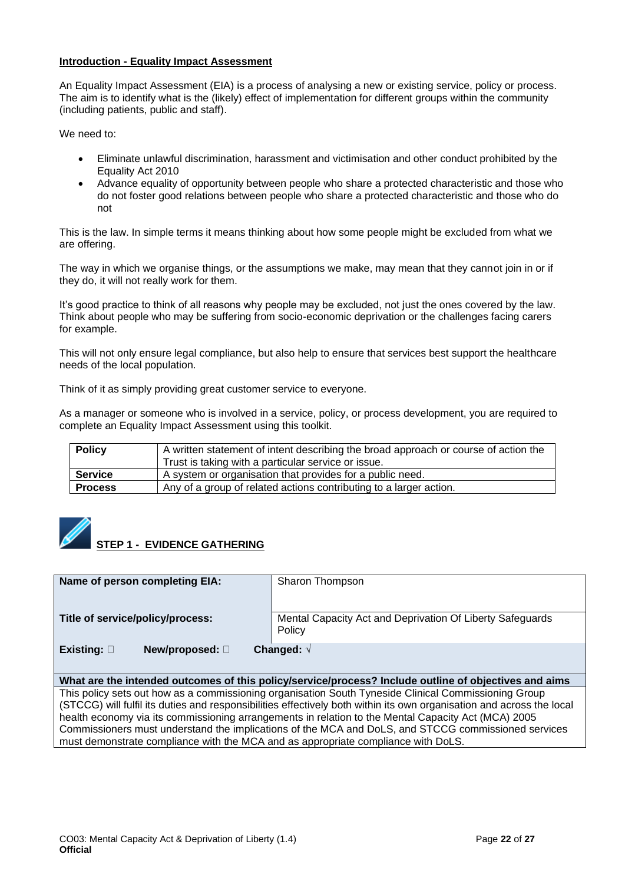#### **Introduction - Equality Impact Assessment**

An Equality Impact Assessment (EIA) is a process of analysing a new or existing service, policy or process. The aim is to identify what is the (likely) effect of implementation for different groups within the community (including patients, public and staff).

We need to:

- Eliminate unlawful discrimination, harassment and victimisation and other conduct prohibited by the Equality Act 2010
- Advance equality of opportunity between people who share a protected characteristic and those who do not foster good relations between people who share a protected characteristic and those who do not

This is the law. In simple terms it means thinking about how some people might be excluded from what we are offering.

The way in which we organise things, or the assumptions we make, may mean that they cannot join in or if they do, it will not really work for them.

It's good practice to think of all reasons why people may be excluded, not just the ones covered by the law. Think about people who may be suffering from socio-economic deprivation or the challenges facing carers for example.

This will not only ensure legal compliance, but also help to ensure that services best support the healthcare needs of the local population.

Think of it as simply providing great customer service to everyone.

As a manager or someone who is involved in a service, policy, or process development, you are required to complete an Equality Impact Assessment using this toolkit.

| <b>Policy</b>  | A written statement of intent describing the broad approach or course of action the |  |  |
|----------------|-------------------------------------------------------------------------------------|--|--|
|                | Trust is taking with a particular service or issue.                                 |  |  |
| <b>Service</b> | A system or organisation that provides for a public need.                           |  |  |
| <b>Process</b> | Any of a group of related actions contributing to a larger action.                  |  |  |



# **STEP 1 - EVIDENCE GATHERING**

| Name of person completing EIA:                                                                        | Sharon Thompson                                                     |  |
|-------------------------------------------------------------------------------------------------------|---------------------------------------------------------------------|--|
| Title of service/policy/process:                                                                      | Mental Capacity Act and Deprivation Of Liberty Safeguards<br>Policy |  |
| Existing: $\square$<br>New/proposed: $\square$                                                        | Changed: $\sqrt{ }$                                                 |  |
| What are the intended outcomes of this policy/service/process? Include outline of objectives and aims |                                                                     |  |

This policy sets out how as a commissioning organisation South Tyneside Clinical Commissioning Group (STCCG) will fulfil its duties and responsibilities effectively both within its own organisation and across the local health economy via its commissioning arrangements in relation to the Mental Capacity Act (MCA) 2005 Commissioners must understand the implications of the MCA and DoLS, and STCCG commissioned services must demonstrate compliance with the MCA and as appropriate compliance with DoLS.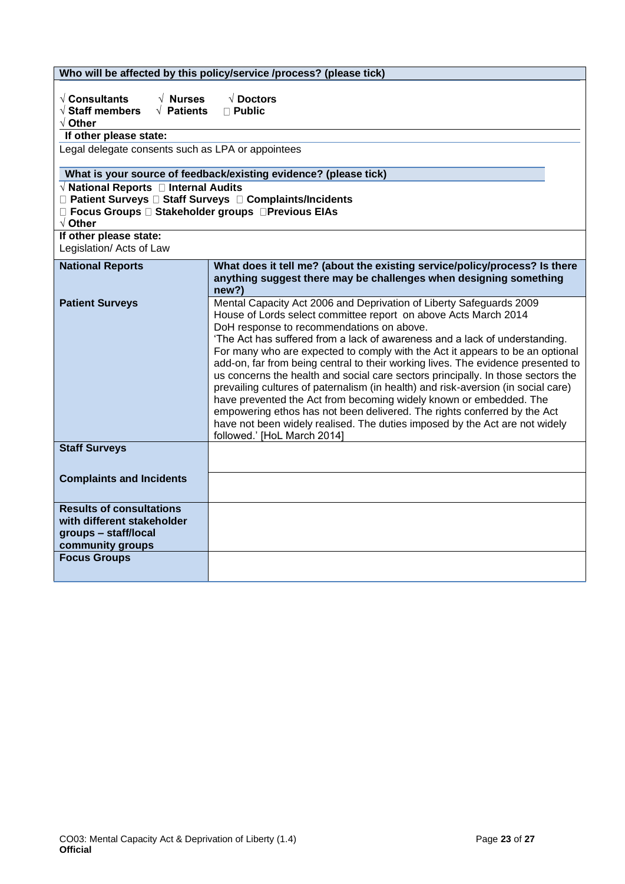| Who will be affected by this policy/service /process? (please tick)                                                                                                                                                                                                                                                                                                                                                                                                                                                     |                                                                                                                                                                                                                                                                                                                                                                                                                                                                                                                                                                                                                                                                                                                                                                                                                                                                                  |  |
|-------------------------------------------------------------------------------------------------------------------------------------------------------------------------------------------------------------------------------------------------------------------------------------------------------------------------------------------------------------------------------------------------------------------------------------------------------------------------------------------------------------------------|----------------------------------------------------------------------------------------------------------------------------------------------------------------------------------------------------------------------------------------------------------------------------------------------------------------------------------------------------------------------------------------------------------------------------------------------------------------------------------------------------------------------------------------------------------------------------------------------------------------------------------------------------------------------------------------------------------------------------------------------------------------------------------------------------------------------------------------------------------------------------------|--|
| $\sqrt{N}$ Nurses<br>$\sqrt{\phantom{a}}$ Doctors<br>$\sqrt{\mathsf{Consultants}}$<br>$\sqrt{ }$ Staff members<br>$\sqrt{}$ Patients<br>$\Box$ Public<br>$\sqrt{}$ Other<br>If other please state:<br>Legal delegate consents such as LPA or appointees<br>What is your source of feedback/existing evidence? (please tick)<br>$\sqrt{ }$ National Reports $\Box$ Internal Audits<br>□ Patient Surveys □ Staff Surveys □ Complaints/Incidents<br>□ Focus Groups □ Stakeholder groups □ Previous EIAs<br>$\sqrt{}$ Other |                                                                                                                                                                                                                                                                                                                                                                                                                                                                                                                                                                                                                                                                                                                                                                                                                                                                                  |  |
| If other please state:<br>Legislation/ Acts of Law                                                                                                                                                                                                                                                                                                                                                                                                                                                                      |                                                                                                                                                                                                                                                                                                                                                                                                                                                                                                                                                                                                                                                                                                                                                                                                                                                                                  |  |
| <b>National Reports</b>                                                                                                                                                                                                                                                                                                                                                                                                                                                                                                 | What does it tell me? (about the existing service/policy/process? Is there<br>anything suggest there may be challenges when designing something<br>new?)                                                                                                                                                                                                                                                                                                                                                                                                                                                                                                                                                                                                                                                                                                                         |  |
| <b>Patient Surveys</b>                                                                                                                                                                                                                                                                                                                                                                                                                                                                                                  | Mental Capacity Act 2006 and Deprivation of Liberty Safeguards 2009<br>House of Lords select committee report on above Acts March 2014<br>DoH response to recommendations on above.<br>'The Act has suffered from a lack of awareness and a lack of understanding.<br>For many who are expected to comply with the Act it appears to be an optional<br>add-on, far from being central to their working lives. The evidence presented to<br>us concerns the health and social care sectors principally. In those sectors the<br>prevailing cultures of paternalism (in health) and risk-aversion (in social care)<br>have prevented the Act from becoming widely known or embedded. The<br>empowering ethos has not been delivered. The rights conferred by the Act<br>have not been widely realised. The duties imposed by the Act are not widely<br>followed.' [HoL March 2014] |  |
| <b>Staff Surveys</b>                                                                                                                                                                                                                                                                                                                                                                                                                                                                                                    |                                                                                                                                                                                                                                                                                                                                                                                                                                                                                                                                                                                                                                                                                                                                                                                                                                                                                  |  |
| <b>Complaints and Incidents</b>                                                                                                                                                                                                                                                                                                                                                                                                                                                                                         |                                                                                                                                                                                                                                                                                                                                                                                                                                                                                                                                                                                                                                                                                                                                                                                                                                                                                  |  |
| <b>Results of consultations</b><br>with different stakeholder<br>groups - staff/local<br>community groups                                                                                                                                                                                                                                                                                                                                                                                                               |                                                                                                                                                                                                                                                                                                                                                                                                                                                                                                                                                                                                                                                                                                                                                                                                                                                                                  |  |
| <b>Focus Groups</b>                                                                                                                                                                                                                                                                                                                                                                                                                                                                                                     |                                                                                                                                                                                                                                                                                                                                                                                                                                                                                                                                                                                                                                                                                                                                                                                                                                                                                  |  |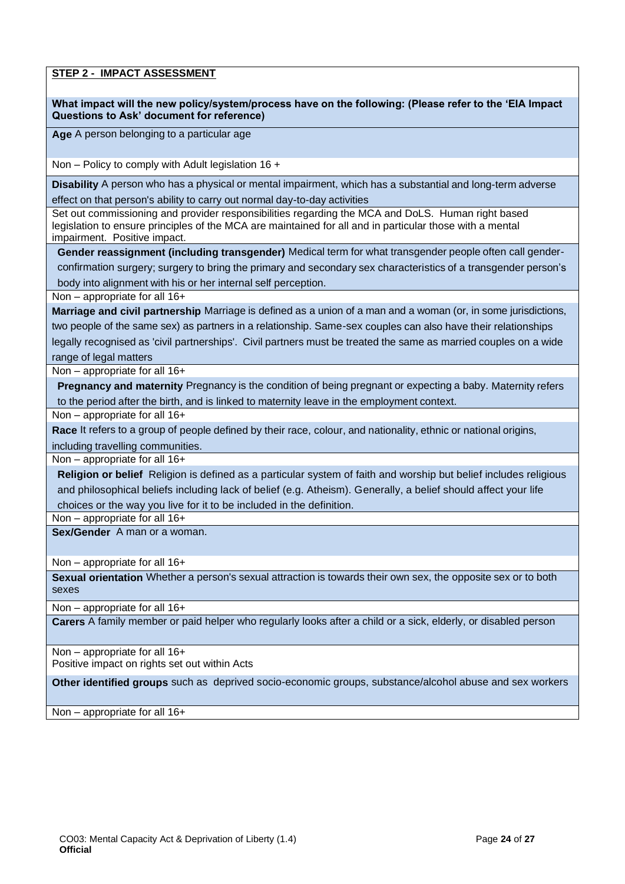#### **STEP 2 - IMPACT ASSESSMENT**

**What impact will the new policy/system/process have on the following: (Please refer to the 'EIA Impact Questions to Ask' document for reference)**

**Age** A person belonging to a particular age

Non – Policy to comply with Adult legislation 16 +

**Disability** A person who has a physical or mental impairment, which has a substantial and long-term adverse effect on that person's ability to carry out normal day-to-day activities

Set out commissioning and provider responsibilities regarding the MCA and DoLS. Human right based legislation to ensure principles of the MCA are maintained for all and in particular those with a mental impairment. Positive impact.

**Gender reassignment (including transgender)** Medical term for what transgender people often call genderconfirmation surgery; surgery to bring the primary and secondary sex characteristics of a transgender person's body into alignment with his or her internal self perception.

Non – appropriate for all 16+

**Marriage and civil partnership** Marriage is defined as a union of a man and a woman (or, in some jurisdictions, two people of the same sex) as partners in a relationship. Same-sex couples can also have their relationships legally recognised as 'civil partnerships'. Civil partners must be treated the same as married couples on a wide

range of legal matters

Non – appropriate for all 16+

**Pregnancy and maternity** Pregnancy is the condition of being pregnant or expecting a baby. Maternity refers to the period after the birth, and is linked to maternity leave in the employment context.

Non – appropriate for all 16+

**Race** It refers to a group of people defined by their race, colour, and nationality, ethnic or national origins, including travelling communities.

Non – appropriate for all 16+

**Religion or belief** Religion is defined as a particular system of faith and worship but belief includes religious and philosophical beliefs including lack of belief (e.g. Atheism). Generally, a belief should affect your life choices or the way you live for it to be included in the definition.

Non – appropriate for all 16+

**Sex/Gender** A man or a woman.

Non – appropriate for all 16+

**Sexual orientation** Whether a person's sexual attraction is towards their own sex, the opposite sex or to both sexes

Non – appropriate for all 16+

**Carers** A family member or paid [helper](http://www.oxforddictionaries.com/definition/english/%20http:/www.oxforddictionaries.com/definition/english/helper#helper__2) who regularly looks after a child or a [sick,](http://www.oxforddictionaries.com/definition/english/%20http:/www.oxforddictionaries.com/definition/english/sick#sick__2) [elderly,](http://www.oxforddictionaries.com/definition/english/%20http:/www.oxforddictionaries.com/definition/english/elderly#elderly__2) or [disabled](http://www.oxforddictionaries.com/definition/english/%20http:/www.oxforddictionaries.com/definition/english/disabled#disabled__2) person

Non – appropriate for all 16+

Positive impact on rights set out within Acts

**Other identified groups** such as deprived socio-economic groups, substance/alcohol abuse and sex workers

Non – appropriate for all 16+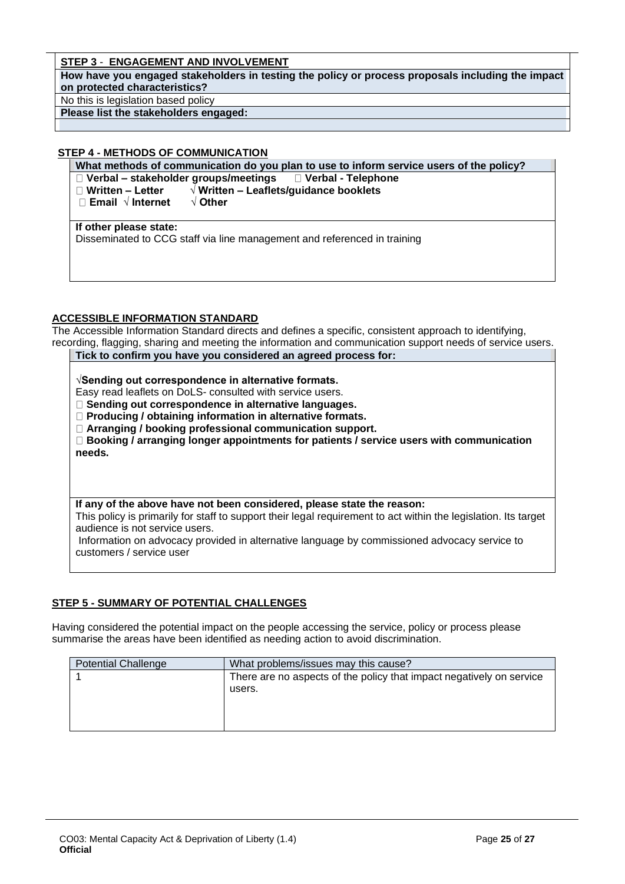#### **STEP 3** - **ENGAGEMENT AND INVOLVEMENT**

**How have you engaged stakeholders in testing the policy or process proposals including the impact on protected characteristics?**

No this is legislation based policy

**Please list the stakeholders engaged:**

#### **STEP 4 - METHODS OF COMMUNICATION**

|                                  | What methods of communication do you plan to use to inform service users of the policy? |
|----------------------------------|-----------------------------------------------------------------------------------------|
|                                  | □ Verbal – stakeholder groups/meetings  □ Verbal - Telephone                            |
| $\Box$ Written – Letter          | $\sqrt{2}$ Written – Leaflets/guidance booklets                                         |
| $\Box$ Email $\Diamond$ Internet | $\sqrt{ }$ Other                                                                        |

**If other please state:**

Disseminated to CCG staff via line management and referenced in training

#### **ACCESSIBLE INFORMATION STANDARD**

The Accessible Information Standard directs and defines a specific, consistent approach to identifying, recording, flagging, sharing and meeting the information and communication support needs of service users.

#### **Tick to confirm you have you considered an agreed process for:**

**√Sending out correspondence in alternative formats.** 

Easy read leaflets on DoLS- consulted with service users.

**Sending out correspondence in alternative languages.** 

**Producing / obtaining information in alternative formats.** 

**Arranging / booking professional communication support.** 

**Booking / arranging longer appointments for patients / service users with communication needs.**

#### **If any of the above have not been considered, please state the reason:**

This policy is primarily for staff to support their legal requirement to act within the legislation. Its target audience is not service users.

Information on advocacy provided in alternative language by commissioned advocacy service to customers / service user

#### **STEP 5 - SUMMARY OF POTENTIAL CHALLENGES**

Having considered the potential impact on the people accessing the service, policy or process please summarise the areas have been identified as needing action to avoid discrimination.

| <b>Potential Challenge</b> | What problems/issues may this cause?                                 |  |
|----------------------------|----------------------------------------------------------------------|--|
|                            | There are no aspects of the policy that impact negatively on service |  |
|                            | users.                                                               |  |
|                            |                                                                      |  |
|                            |                                                                      |  |
|                            |                                                                      |  |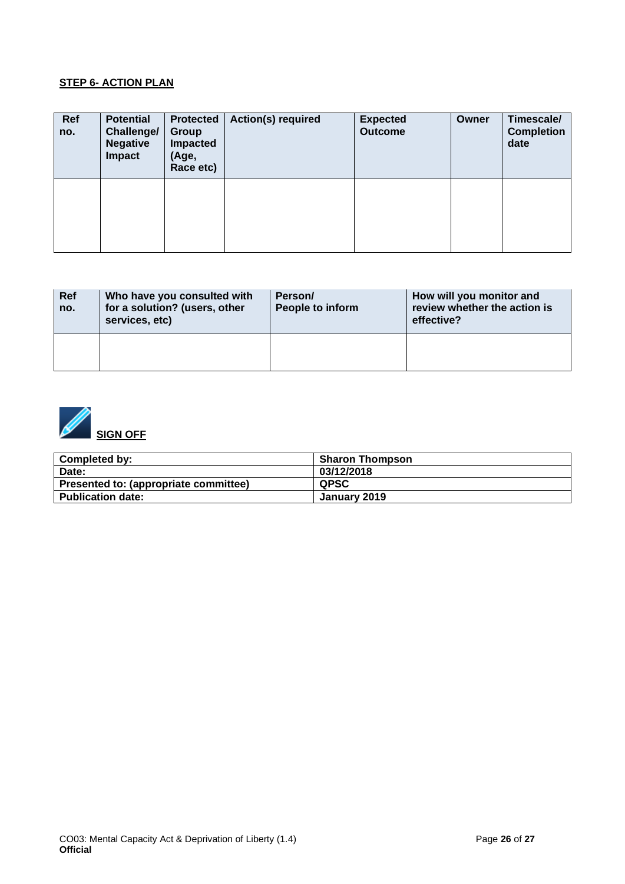#### **STEP 6- ACTION PLAN**

| <b>Ref</b><br>no. | <b>Potential</b><br>Challenge/<br><b>Negative</b><br>Impact | <b>Protected</b><br>Group<br>Impacted<br>(Age,<br>Race etc) | <b>Action(s) required</b> | <b>Expected</b><br><b>Outcome</b> | Owner | Timescale/<br><b>Completion</b><br>date |
|-------------------|-------------------------------------------------------------|-------------------------------------------------------------|---------------------------|-----------------------------------|-------|-----------------------------------------|
|                   |                                                             |                                                             |                           |                                   |       |                                         |

| Ref<br>no. | Who have you consulted with<br>for a solution? (users, other<br>services, etc) | Person/<br>People to inform | How will you monitor and<br>review whether the action is<br>effective? |
|------------|--------------------------------------------------------------------------------|-----------------------------|------------------------------------------------------------------------|
|            |                                                                                |                             |                                                                        |



| Completed by:                         | <b>Sharon Thompson</b> |
|---------------------------------------|------------------------|
| Date:                                 | 03/12/2018             |
| Presented to: (appropriate committee) | <b>QPSC</b>            |
| <b>Publication date:</b>              | January 2019           |